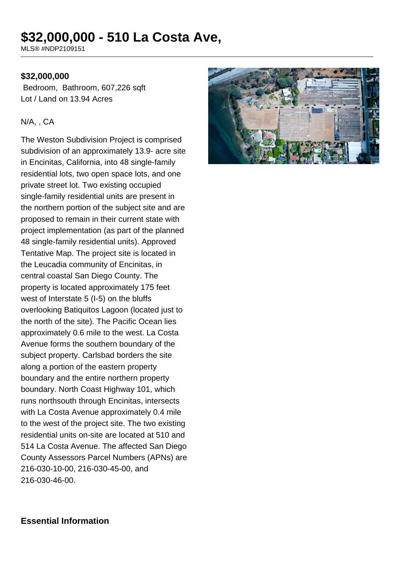# **\$32,000,000 - 510 La Costa Ave,**

MLS® #NDP2109151

#### **\$32,000,000**

 Bedroom, Bathroom, 607,226 sqft Lot / Land on 13.94 Acres

#### N/A, , CA

The Weston Subdivision Project is comprised subdivision of an approximately 13.9- acre site in Encinitas, California, into 48 single-family residential lots, two open space lots, and one private street lot. Two existing occupied single-family residential units are present in the northern portion of the subject site and are proposed to remain in their current state with project implementation (as part of the planned 48 single-family residential units). Approved Tentative Map. The project site is located in the Leucadia community of Encinitas, in central coastal San Diego County. The property is located approximately 175 feet west of Interstate 5 (I-5) on the bluffs overlooking Batiquitos Lagoon (located just to the north of the site). The Pacific Ocean lies approximately 0.6 mile to the west. La Costa Avenue forms the southern boundary of the subject property. Carlsbad borders the site along a portion of the eastern property boundary and the entire northern property boundary. North Coast Highway 101, which runs northsouth through Encinitas, intersects with La Costa Avenue approximately 0.4 mile to the west of the project site. The two existing residential units on-site are located at 510 and 514 La Costa Avenue. The affected San Diego County Assessors Parcel Numbers (APNs) are 216-030-10-00, 216-030-45-00, and 216-030-46-00.



#### **Essential Information**